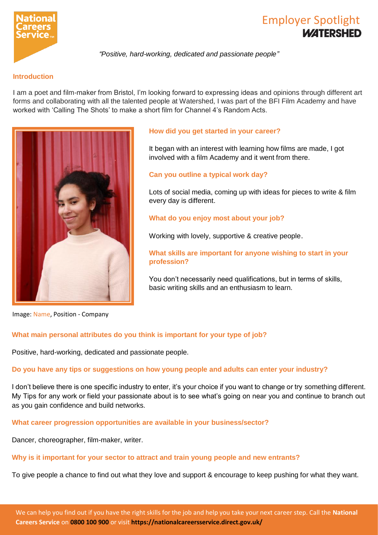

# Employer Spotlight

*"Positive, hard-working, dedicated and passionate people"*

# **Introduction**

I am a poet and film-maker from Bristol, I'm looking forward to expressing ideas and opinions through different art forms and collaborating with all the talented people at Watershed, I was part of the BFI Film Academy and have worked with 'Calling The Shots' to make a short film for Channel 4's Random Acts.



# **How did you get started in your career?**

It began with an interest with learning how films are made, I got involved with a film Academy and it went from there.

# **Can you outline a typical work day?**

Lots of social media, coming up with ideas for pieces to write & film every day is different.

# **What do you enjoy most about your job?**

Working with lovely, supportive & creative people.

**What skills are important for anyone wishing to start in your profession?**

You don't necessarily need qualifications, but in terms of skills, basic writing skills and an enthusiasm to learn.

Image: Name, Position - Company

#### **What main personal attributes do you think is important for your type of job?**

Positive, hard-working, dedicated and passionate people.

#### **Do you have any tips or suggestions on how young people and adults can enter your industry?**

I don't believe there is one specific industry to enter, it's your choice if you want to change or try something different. My Tips for any work or field your passionate about is to see what's going on near you and continue to branch out as you gain confidence and build networks.

# **What career progression opportunities are available in your business/sector?**

Dancer, choreographer, film-maker, writer.

#### **Why is it important for your sector to attract and train young people and new entrants?**

To give people a chance to find out what they love and support & encourage to keep pushing for what they want.